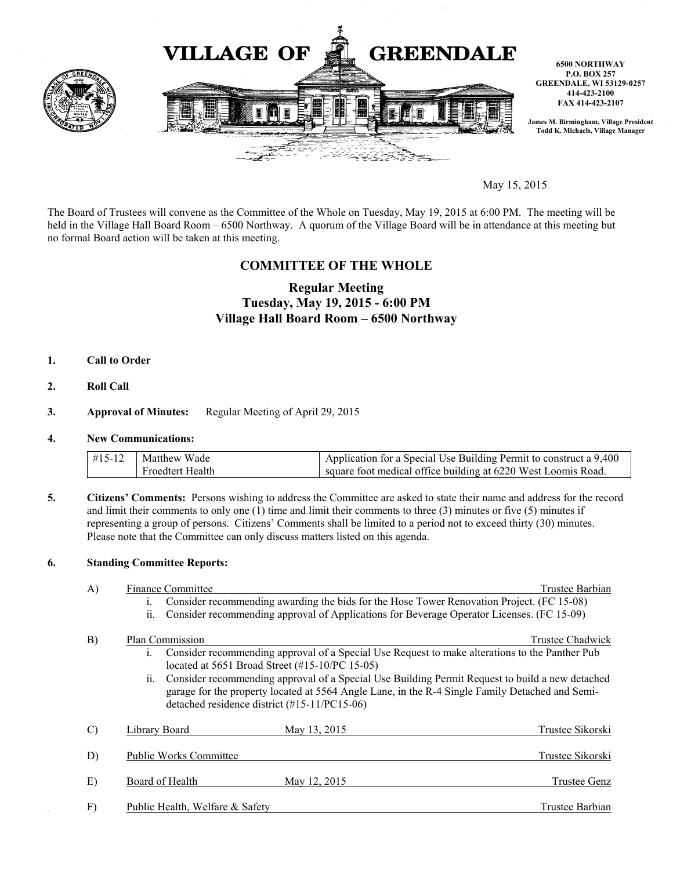

May 15, 2015

The Board of Trustees will convene as the Committee of the Whole on Tuesday, May 19, 2015 at 6:00 PM. The meeting will be held in the Village Hall Board Room – 6500 Northway. A quorum of the Village Board will be in attendance at this meeting but no formal Board action will be taken at this meeting.

## **COMMITTEE OF THE WHOLE**

# **Regular Meeting Tuesday, May 19, 2015 - 6:00 PM Village Hall Board Room – 6500 Northway**

- **1. Call to Order**
- **2. Roll Call**

### **3. Approval of Minutes:** Regular Meeting of April 29, 2015

#### **4. New Communications:**

| $\#15-12$ Matthew Wade | Application for a Special Use Building Permit to construct a 9,400 |
|------------------------|--------------------------------------------------------------------|
| Froedtert Health       | square foot medical office building at 6220 West Loomis Road.      |

**5. Citizens' Comments:** Persons wishing to address the Committee are asked to state their name and address for the record and limit their comments to only one (1) time and limit their comments to three (3) minutes or five (5) minutes if representing a group of persons. Citizens' Comments shall be limited to a period not to exceed thirty (30) minutes. Please note that the Committee can only discuss matters listed on this agenda.

## **6. Standing Committee Reports:**

| A)            | <b>Finance Committee</b>                                                                                                                                                                                                                                                                                                                                                                                                                        | Trustee Barbian     |
|---------------|-------------------------------------------------------------------------------------------------------------------------------------------------------------------------------------------------------------------------------------------------------------------------------------------------------------------------------------------------------------------------------------------------------------------------------------------------|---------------------|
|               | Consider recommending awarding the bids for the Hose Tower Renovation Project. (FC 15-08)<br>$\mathbf{1}$ .                                                                                                                                                                                                                                                                                                                                     |                     |
|               | ii.<br>Consider recommending approval of Applications for Beverage Operator Licenses. (FC 15-09)                                                                                                                                                                                                                                                                                                                                                |                     |
| B)            | Plan Commission<br>Consider recommending approval of a Special Use Request to make alterations to the Panther Pub<br>$\mathbf{1}$ .<br>located at 5651 Broad Street (#15-10/PC 15-05)<br>ii. Consider recommending approval of a Special Use Building Permit Request to build a new detached<br>garage for the property located at 5564 Angle Lane, in the R-4 Single Family Detached and Semi-<br>detached residence district (#15-11/PC15-06) | Trustee Chadwick    |
| $\mathcal{C}$ | <b>Library Board</b><br>May 13, 2015                                                                                                                                                                                                                                                                                                                                                                                                            | Trustee Sikorski    |
| D)            | <b>Public Works Committee</b>                                                                                                                                                                                                                                                                                                                                                                                                                   | Trustee Sikorski    |
| E)            | Board of Health<br>May 12, 2015                                                                                                                                                                                                                                                                                                                                                                                                                 | <b>Trustee Genz</b> |
| F)            | Public Health, Welfare & Safety                                                                                                                                                                                                                                                                                                                                                                                                                 | Trustee Barbian     |